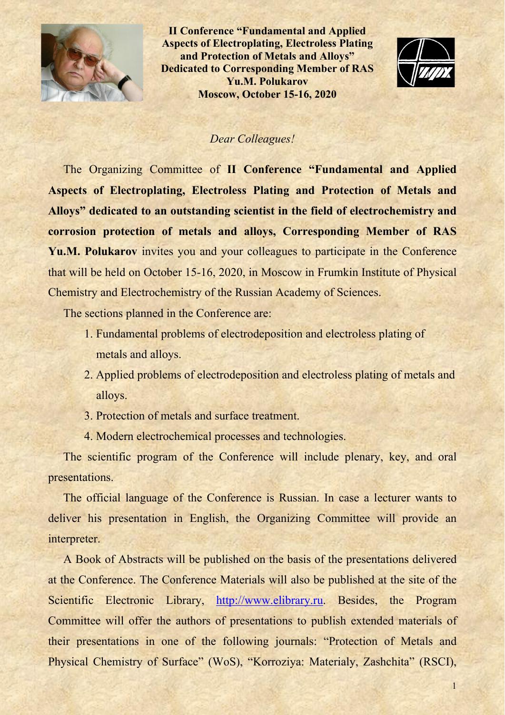

**II Conference "Fundamental and Applied Aspects of Electroplating, Electroless Plating and Protection of Metals and Alloys" Dedicated to Corresponding Member of RAS Yu.M. Polukarov Moscow, October 15-16, 2020** 



# *Dear Colleagues!*

The Organizing Committee of **II Conference "Fundamental and Applied Aspects of Electroplating, Electroless Plating and Protection of Metals and Alloys" dedicated to an outstanding scientist in the field of electrochemistry and corrosion protection of metals and alloys, Corresponding Member of RAS Yu.M. Polukarov** invites you and your colleagues to participate in the Conference that will be held on October 15-16, 2020, in Moscow in Frumkin Institute of Physical Chemistry and Electrochemistry of the Russian Academy of Sciences.

The sections planned in the Conference are:

- 1. Fundamental problems of electrodeposition and electroless plating of metals and alloys.
- 2. Applied problems of electrodeposition and electroless plating of metals and alloys.
- 3. Protection of metals and surface treatment.
- 4. Modern electrochemical processes and technologies.

The scientific program of the Conference will include plenary, key, and oral presentations.

The official language of the Conference is Russian. In case a lecturer wants to deliver his presentation in English, the Organizing Committee will provide an interpreter.

A Book of Abstracts will be published on the basis of the presentations delivered at the Conference. The Conference Materials will also be published at the site of the Scientific Electronic Library, http://www.elibrary.ru. Besides, the Program Committee will offer the authors of presentations to publish extended materials of their presentations in one of the following journals: "Protection of Metals and Physical Chemistry of Surface" (WoS), "Korroziya: Materialy, Zashchita" (RSCI),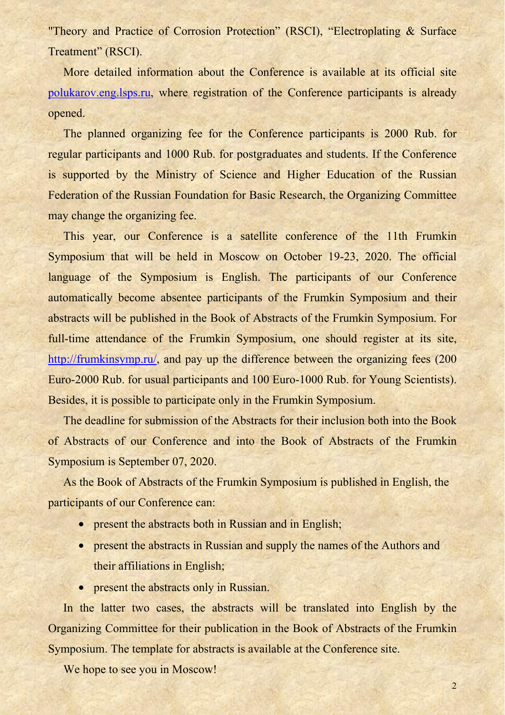"Theory and Practice of Corrosion Protection" (RSCI), "Electroplating & Surface Treatment" (RSCI).

More detailed information about the Conference is available at its official site polukarov.eng.lsps.ru, where registration of the Conference participants is already opened.

The planned organizing fee for the Conference participants is 2000 Rub. for regular participants and 1000 Rub. for postgraduates and students. If the Conference is supported by the Ministry of Science and Higher Education of the Russian Federation of the Russian Foundation for Basic Research, the Organizing Committee may change the organizing fee.

This year, our Conference is a satellite conference of the 11th Frumkin Symposium that will be held in Moscow on October 19-23, 2020. The official language of the Symposium is English. The participants of our Conference automatically become absentee participants of the Frumkin Symposium and their abstracts will be published in the Book of Abstracts of the Frumkin Symposium. For full-time attendance of the Frumkin Symposium, one should register at its site, http://frumkinsymp.ru/, and pay up the difference between the organizing fees (200) Euro-2000 Rub. for usual participants and 100 Euro-1000 Rub. for Young Scientists). Besides, it is possible to participate only in the Frumkin Symposium.

The deadline for submission of the Abstracts for their inclusion both into the Book of Abstracts of our Conference and into the Book of Abstracts of the Frumkin Symposium is September 07, 2020.

As the Book of Abstracts of the Frumkin Symposium is published in English, the participants of our Conference can:

- present the abstracts both in Russian and in English;
- present the abstracts in Russian and supply the names of the Authors and their affiliations in English;
- present the abstracts only in Russian.

In the latter two cases, the abstracts will be translated into English by the Organizing Committee for their publication in the Book of Abstracts of the Frumkin Symposium. The template for abstracts is available at the Conference site.

We hope to see you in Moscow!